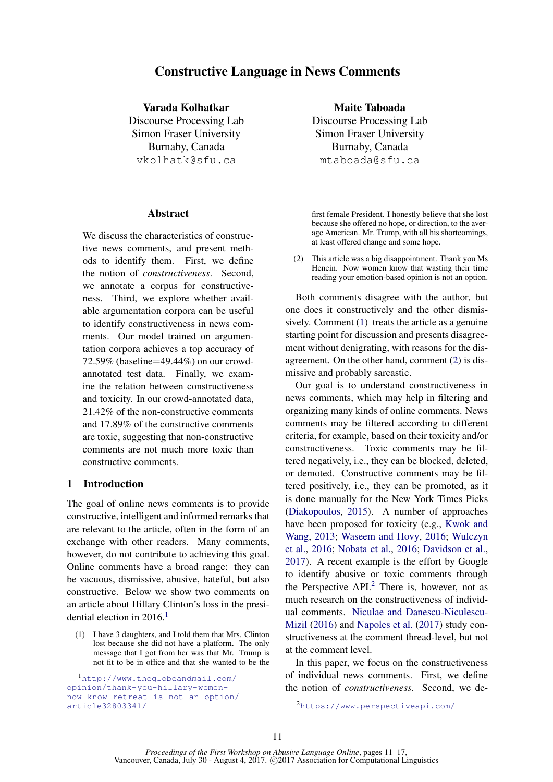# Constructive Language in News Comments

Varada Kolhatkar

Discourse Processing Lab Simon Fraser University Burnaby, Canada vkolhatk@sfu.ca

### **Abstract**

We discuss the characteristics of constructive news comments, and present methods to identify them. First, we define the notion of *constructiveness*. Second, we annotate a corpus for constructiveness. Third, we explore whether available argumentation corpora can be useful to identify constructiveness in news comments. Our model trained on argumentation corpora achieves a top accuracy of 72.59% (baseline=49.44%) on our crowdannotated test data. Finally, we examine the relation between constructiveness and toxicity. In our crowd-annotated data, 21.42% of the non-constructive comments and 17.89% of the constructive comments are toxic, suggesting that non-constructive comments are not much more toxic than constructive comments.

## 1 Introduction

The goal of online news comments is to provide constructive, intelligent and informed remarks that are relevant to the article, often in the form of an exchange with other readers. Many comments, however, do not contribute to achieving this goal. Online comments have a broad range: they can be vacuous, dismissive, abusive, hateful, but also constructive. Below we show two comments on an article about Hillary Clinton's loss in the presidential election in  $2016<sup>1</sup>$ 

(1) I have 3 daughters, and I told them that Mrs. Clinton lost because she did not have a platform. The only message that I got from her was that Mr. Trump is not fit to be in office and that she wanted to be the

Maite Taboada Discourse Processing Lab Simon Fraser University Burnaby, Canada mtaboada@sfu.ca

first female President. I honestly believe that she lost because she offered no hope, or direction, to the average American. Mr. Trump, with all his shortcomings, at least offered change and some hope.

(2) This article was a big disappointment. Thank you Ms Henein. Now women know that wasting their time reading your emotion-based opinion is not an option.

Both comments disagree with the author, but one does it constructively and the other dismissively. Comment (1) treats the article as a genuine starting point for discussion and presents disagreement without denigrating, with reasons for the disagreement. On the other hand, comment (2) is dismissive and probably sarcastic.

Our goal is to understand constructiveness in news comments, which may help in filtering and organizing many kinds of online comments. News comments may be filtered according to different criteria, for example, based on their toxicity and/or constructiveness. Toxic comments may be filtered negatively, i.e., they can be blocked, deleted, or demoted. Constructive comments may be filtered positively, i.e., they can be promoted, as it is done manually for the New York Times Picks (Diakopoulos, 2015). A number of approaches have been proposed for toxicity (e.g., Kwok and Wang, 2013; Waseem and Hovy, 2016; Wulczyn et al., 2016; Nobata et al., 2016; Davidson et al., 2017). A recent example is the effort by Google to identify abusive or toxic comments through the Perspective  $API<sup>2</sup>$  There is, however, not as much research on the constructiveness of individual comments. Niculae and Danescu-Niculescu-Mizil (2016) and Napoles et al. (2017) study constructiveness at the comment thread-level, but not at the comment level.

In this paper, we focus on the constructiveness of individual news comments. First, we define the notion of *constructiveness*. Second, we de-

<sup>1</sup>http://www.theglobeandmail.com/ opinion/thank-you-hillary-womennow-know-retreat-is-not-an-option/ article32803341/

<sup>2</sup>https://www.perspectiveapi.com/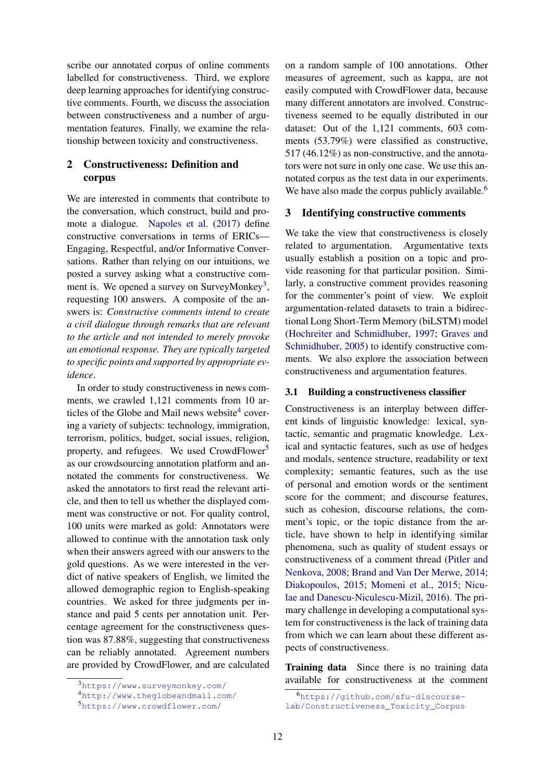scribe our annotated corpus of online comments labelled for constructiveness. Third, we explore deep learning approaches for identifying constructive comments. Fourth, we discuss the association between constructiveness and a number of argumentation features. Finally, we examine the relationship between toxicity and constructiveness.

# 2 Constructiveness: Definition and corpus

We are interested in comments that contribute to the conversation, which construct, build and promote a dialogue. Napoles et al. (2017) define constructive conversations in terms of ERICs— Engaging, Respectful, and/or Informative Conversations. Rather than relying on our intuitions, we posted a survey asking what a constructive comment is. We opened a survey on SurveyMonkey<sup>3</sup>, requesting 100 answers. A composite of the answers is: *Constructive comments intend to create a civil dialogue through remarks that are relevant to the article and not intended to merely provoke an emotional response. They are typically targeted to specific points and supported by appropriate evidence*.

In order to study constructiveness in news comments, we crawled 1,121 comments from 10 articles of the Globe and Mail news website<sup>4</sup> covering a variety of subjects: technology, immigration, terrorism, politics, budget, social issues, religion, property, and refugees. We used CrowdFlower<sup>5</sup> as our crowdsourcing annotation platform and annotated the comments for constructiveness. We asked the annotators to first read the relevant article, and then to tell us whether the displayed comment was constructive or not. For quality control, 100 units were marked as gold: Annotators were allowed to continue with the annotation task only when their answers agreed with our answers to the gold questions. As we were interested in the verdict of native speakers of English, we limited the allowed demographic region to English-speaking countries. We asked for three judgments per instance and paid 5 cents per annotation unit. Percentage agreement for the constructiveness question was 87.88%, suggesting that constructiveness can be reliably annotated. Agreement numbers are provided by CrowdFlower, and are calculated on a random sample of 100 annotations. Other measures of agreement, such as kappa, are not easily computed with CrowdFlower data, because many different annotators are involved. Constructiveness seemed to be equally distributed in our dataset: Out of the 1,121 comments, 603 comments (53.79%) were classified as constructive, 517 (46.12%) as non-constructive, and the annotators were not sure in only one case. We use this annotated corpus as the test data in our experiments. We have also made the corpus publicly available.<sup>6</sup>

#### 3 Identifying constructive comments

We take the view that constructiveness is closely related to argumentation. Argumentative texts usually establish a position on a topic and provide reasoning for that particular position. Similarly, a constructive comment provides reasoning for the commenter's point of view. We exploit argumentation-related datasets to train a bidirectional Long Short-Term Memory (biLSTM) model (Hochreiter and Schmidhuber, 1997; Graves and Schmidhuber, 2005) to identify constructive comments. We also explore the association between constructiveness and argumentation features.

### 3.1 Building a constructiveness classifier

Constructiveness is an interplay between different kinds of linguistic knowledge: lexical, syntactic, semantic and pragmatic knowledge. Lexical and syntactic features, such as use of hedges and modals, sentence structure, readability or text complexity; semantic features, such as the use of personal and emotion words or the sentiment score for the comment; and discourse features, such as cohesion, discourse relations, the comment's topic, or the topic distance from the article, have shown to help in identifying similar phenomena, such as quality of student essays or constructiveness of a comment thread (Pitler and Nenkova, 2008; Brand and Van Der Merwe, 2014; Diakopoulos, 2015; Momeni et al., 2015; Niculae and Danescu-Niculescu-Mizil, 2016). The primary challenge in developing a computational system for constructiveness is the lack of training data from which we can learn about these different aspects of constructiveness.

Training data Since there is no training data available for constructiveness at the comment

<sup>3</sup>https://www.surveymonkey.com/

<sup>4</sup>http://www.theglobeandmail.com/

<sup>5</sup>https://www.crowdflower.com/

<sup>6</sup>https://github.com/sfu-discourselab/Constructiveness\_Toxicity\_Corpus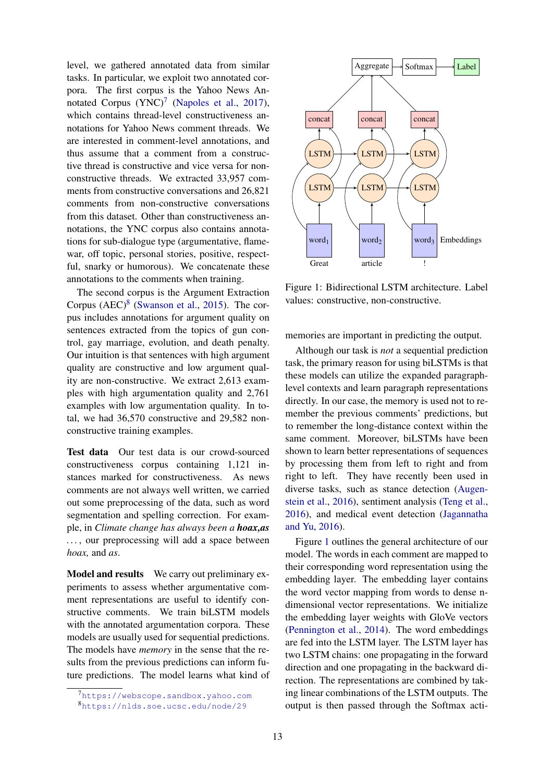level, we gathered annotated data from similar tasks. In particular, we exploit two annotated corpora. The first corpus is the Yahoo News Annotated Corpus  $(YNC)^7$  (Napoles et al., 2017), which contains thread-level constructiveness annotations for Yahoo News comment threads. We are interested in comment-level annotations, and thus assume that a comment from a constructive thread is constructive and vice versa for nonconstructive threads. We extracted 33,957 comments from constructive conversations and 26,821 comments from non-constructive conversations from this dataset. Other than constructiveness annotations, the YNC corpus also contains annotations for sub-dialogue type (argumentative, flamewar, off topic, personal stories, positive, respectful, snarky or humorous). We concatenate these annotations to the comments when training.

The second corpus is the Argument Extraction Corpus  $(AEC)^8$  (Swanson et al., 2015). The corpus includes annotations for argument quality on sentences extracted from the topics of gun control, gay marriage, evolution, and death penalty. Our intuition is that sentences with high argument quality are constructive and low argument quality are non-constructive. We extract 2,613 examples with high argumentation quality and 2,761 examples with low argumentation quality. In total, we had 36,570 constructive and 29,582 nonconstructive training examples.

Test data Our test data is our crowd-sourced constructiveness corpus containing 1,121 instances marked for constructiveness. As news comments are not always well written, we carried out some preprocessing of the data, such as word segmentation and spelling correction. For example, in *Climate change has always been a hoax,as . . .* , our preprocessing will add a space between *hoax,* and *as*.

Model and results We carry out preliminary experiments to assess whether argumentative comment representations are useful to identify constructive comments. We train biLSTM models with the annotated argumentation corpora. These models are usually used for sequential predictions. The models have *memory* in the sense that the results from the previous predictions can inform future predictions. The model learns what kind of



Figure 1: Bidirectional LSTM architecture. Label values: constructive, non-constructive.

memories are important in predicting the output.

Although our task is *not* a sequential prediction task, the primary reason for using biLSTMs is that these models can utilize the expanded paragraphlevel contexts and learn paragraph representations directly. In our case, the memory is used not to remember the previous comments' predictions, but to remember the long-distance context within the same comment. Moreover, biLSTMs have been shown to learn better representations of sequences by processing them from left to right and from right to left. They have recently been used in diverse tasks, such as stance detection (Augenstein et al., 2016), sentiment analysis (Teng et al., 2016), and medical event detection (Jagannatha and Yu, 2016).

Figure 1 outlines the general architecture of our model. The words in each comment are mapped to their corresponding word representation using the embedding layer. The embedding layer contains the word vector mapping from words to dense ndimensional vector representations. We initialize the embedding layer weights with GloVe vectors (Pennington et al., 2014). The word embeddings are fed into the LSTM layer. The LSTM layer has two LSTM chains: one propagating in the forward direction and one propagating in the backward direction. The representations are combined by taking linear combinations of the LSTM outputs. The output is then passed through the Softmax acti-

<sup>7</sup>https://webscope.sandbox.yahoo.com <sup>8</sup>https://nlds.soe.ucsc.edu/node/29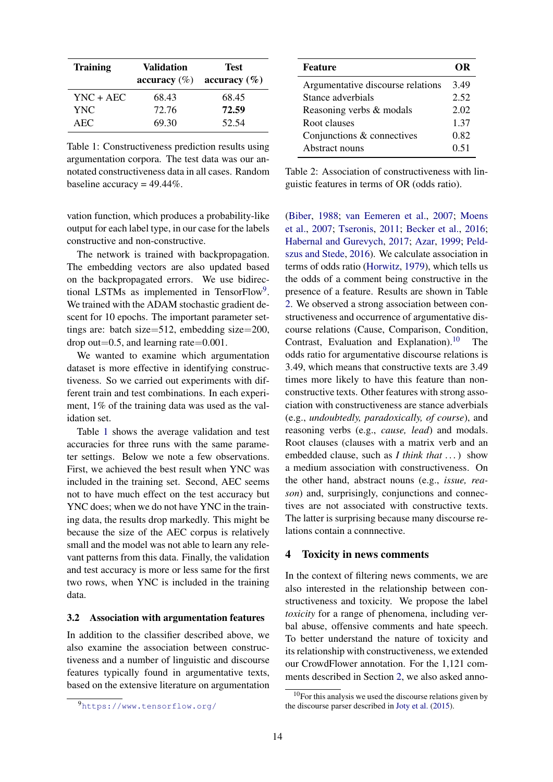| <b>Training</b> | <b>Validation</b><br>accuracy $(\%)$ | <b>Test</b><br>accuracy $(\% )$ |
|-----------------|--------------------------------------|---------------------------------|
| YNC + AEC       | 68.43                                | 68.45                           |
| <b>YNC</b>      | 72.76                                | 72.59                           |
| AEC             | 69.30                                | 52.54                           |

Table 1: Constructiveness prediction results using argumentation corpora. The test data was our annotated constructiveness data in all cases. Random baseline accuracy =  $49.44\%$ .

vation function, which produces a probability-like output for each label type, in our case for the labels constructive and non-constructive.

The network is trained with backpropagation. The embedding vectors are also updated based on the backpropagated errors. We use bidirectional LSTMs as implemented in TensorFlow<sup>9</sup>. We trained with the ADAM stochastic gradient descent for 10 epochs. The important parameter settings are: batch size=512, embedding size=200, drop out=0.5, and learning rate=0.001.

We wanted to examine which argumentation dataset is more effective in identifying constructiveness. So we carried out experiments with different train and test combinations. In each experiment, 1% of the training data was used as the validation set.

Table 1 shows the average validation and test accuracies for three runs with the same parameter settings. Below we note a few observations. First, we achieved the best result when YNC was included in the training set. Second, AEC seems not to have much effect on the test accuracy but YNC does; when we do not have YNC in the training data, the results drop markedly. This might be because the size of the AEC corpus is relatively small and the model was not able to learn any relevant patterns from this data. Finally, the validation and test accuracy is more or less same for the first two rows, when YNC is included in the training data.

#### 3.2 Association with argumentation features

In addition to the classifier described above, we also examine the association between constructiveness and a number of linguistic and discourse features typically found in argumentative texts, based on the extensive literature on argumentation

| <b>Feature</b>                    | OR   |
|-----------------------------------|------|
| Argumentative discourse relations | 3.49 |
| Stance adverbials                 | 2.52 |
| Reasoning verbs & modals          | 2.02 |
| Root clauses                      | 1 37 |
| Conjunctions & connectives        | 0.82 |
| Abstract nouns                    | 0.51 |

Table 2: Association of constructiveness with linguistic features in terms of OR (odds ratio).

(Biber, 1988; van Eemeren et al., 2007; Moens et al., 2007; Tseronis, 2011; Becker et al., 2016; Habernal and Gurevych, 2017; Azar, 1999; Peldszus and Stede, 2016). We calculate association in terms of odds ratio (Horwitz, 1979), which tells us the odds of a comment being constructive in the presence of a feature. Results are shown in Table 2. We observed a strong association between constructiveness and occurrence of argumentative discourse relations (Cause, Comparison, Condition, Contrast, Evaluation and Explanation).<sup>10</sup> The odds ratio for argumentative discourse relations is 3.49, which means that constructive texts are 3.49 times more likely to have this feature than nonconstructive texts. Other features with strong association with constructiveness are stance adverbials (e.g., *undoubtedly, paradoxically, of course*), and reasoning verbs (e.g., *cause, lead*) and modals. Root clauses (clauses with a matrix verb and an embedded clause, such as *I think that . . .*) show a medium association with constructiveness. On the other hand, abstract nouns (e.g., *issue, reason*) and, surprisingly, conjunctions and connectives are not associated with constructive texts. The latter is surprising because many discourse relations contain a connnective.

#### 4 Toxicity in news comments

In the context of filtering news comments, we are also interested in the relationship between constructiveness and toxicity. We propose the label *toxicity* for a range of phenomena, including verbal abuse, offensive comments and hate speech. To better understand the nature of toxicity and its relationship with constructiveness, we extended our CrowdFlower annotation. For the 1,121 comments described in Section 2, we also asked anno-

<sup>9</sup>https://www.tensorflow.org/

 $10$ For this analysis we used the discourse relations given by the discourse parser described in Joty et al. (2015).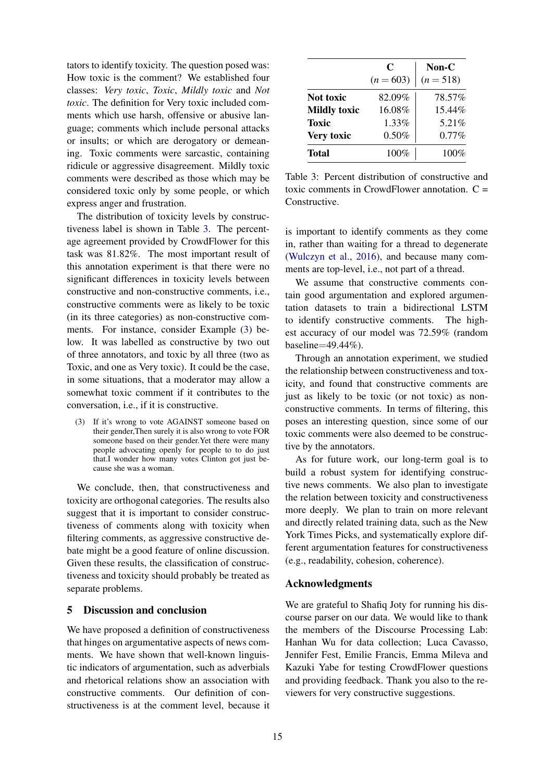tators to identify toxicity. The question posed was: How toxic is the comment? We established four classes: *Very toxic*, *Toxic*, *Mildly toxic* and *Not toxic*. The definition for Very toxic included comments which use harsh, offensive or abusive language; comments which include personal attacks or insults; or which are derogatory or demeaning. Toxic comments were sarcastic, containing ridicule or aggressive disagreement. Mildly toxic comments were described as those which may be considered toxic only by some people, or which express anger and frustration.

The distribution of toxicity levels by constructiveness label is shown in Table 3. The percentage agreement provided by CrowdFlower for this task was 81.82%. The most important result of this annotation experiment is that there were no significant differences in toxicity levels between constructive and non-constructive comments, i.e., constructive comments were as likely to be toxic (in its three categories) as non-constructive comments. For instance, consider Example (3) below. It was labelled as constructive by two out of three annotators, and toxic by all three (two as Toxic, and one as Very toxic). It could be the case, in some situations, that a moderator may allow a somewhat toxic comment if it contributes to the conversation, i.e., if it is constructive.

(3) If it's wrong to vote AGAINST someone based on their gender,Then surely it is also wrong to vote FOR someone based on their gender.Yet there were many people advocating openly for people to to do just that.I wonder how many votes Clinton got just because she was a woman.

We conclude, then, that constructiveness and toxicity are orthogonal categories. The results also suggest that it is important to consider constructiveness of comments along with toxicity when filtering comments, as aggressive constructive debate might be a good feature of online discussion. Given these results, the classification of constructiveness and toxicity should probably be treated as separate problems.

## 5 Discussion and conclusion

We have proposed a definition of constructiveness that hinges on argumentative aspects of news comments. We have shown that well-known linguistic indicators of argumentation, such as adverbials and rhetorical relations show an association with constructive comments. Our definition of constructiveness is at the comment level, because it

|                     | C           | $Non-C$     |
|---------------------|-------------|-------------|
|                     | $(n = 603)$ | $(n = 518)$ |
| <b>Not toxic</b>    | 82.09%      | 78.57%      |
| <b>Mildly toxic</b> | 16.08%      | 15.44%      |
| Toxic               | 1.33%       | 5.21%       |
| Very toxic          | $0.50\%$    | $0.77\%$    |
| Total               | 100%        | $100\%$     |

Table 3: Percent distribution of constructive and toxic comments in CrowdFlower annotation.  $C =$ **Constructive.** 

is important to identify comments as they come in, rather than waiting for a thread to degenerate (Wulczyn et al., 2016), and because many comments are top-level, i.e., not part of a thread.

We assume that constructive comments contain good argumentation and explored argumentation datasets to train a bidirectional LSTM to identify constructive comments. The highest accuracy of our model was 72.59% (random baseline=49.44%).

Through an annotation experiment, we studied the relationship between constructiveness and toxicity, and found that constructive comments are just as likely to be toxic (or not toxic) as nonconstructive comments. In terms of filtering, this poses an interesting question, since some of our toxic comments were also deemed to be constructive by the annotators.

As for future work, our long-term goal is to build a robust system for identifying constructive news comments. We also plan to investigate the relation between toxicity and constructiveness more deeply. We plan to train on more relevant and directly related training data, such as the New York Times Picks, and systematically explore different argumentation features for constructiveness (e.g., readability, cohesion, coherence).

## Acknowledgments

We are grateful to Shafiq Joty for running his discourse parser on our data. We would like to thank the members of the Discourse Processing Lab: Hanhan Wu for data collection; Luca Cavasso, Jennifer Fest, Emilie Francis, Emma Mileva and Kazuki Yabe for testing CrowdFlower questions and providing feedback. Thank you also to the reviewers for very constructive suggestions.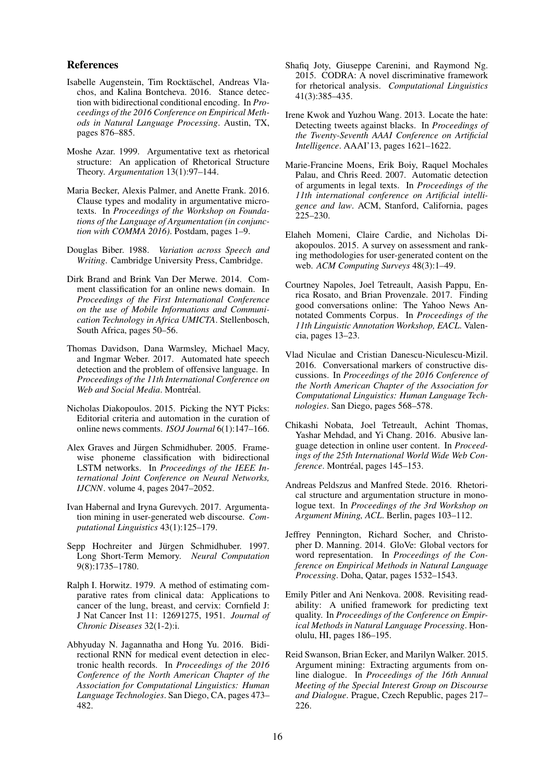#### References

- Isabelle Augenstein, Tim Rocktäschel, Andreas Vlachos, and Kalina Bontcheva. 2016. Stance detection with bidirectional conditional encoding. In *Proceedings of the 2016 Conference on Empirical Methods in Natural Language Processing*. Austin, TX, pages 876–885.
- Moshe Azar. 1999. Argumentative text as rhetorical structure: An application of Rhetorical Structure Theory. *Argumentation* 13(1):97–144.
- Maria Becker, Alexis Palmer, and Anette Frank. 2016. Clause types and modality in argumentative microtexts. In *Proceedings of the Workshop on Foundations of the Language of Argumentation (in conjunction with COMMA 2016)*. Postdam, pages 1–9.
- Douglas Biber. 1988. *Variation across Speech and Writing*. Cambridge University Press, Cambridge.
- Dirk Brand and Brink Van Der Merwe. 2014. Comment classification for an online news domain. In *Proceedings of the First International Conference on the use of Mobile Informations and Communication Technology in Africa UMICTA*. Stellenbosch, South Africa, pages 50–56.
- Thomas Davidson, Dana Warmsley, Michael Macy, and Ingmar Weber. 2017. Automated hate speech detection and the problem of offensive language. In *Proceedings of the 11th International Conference on Web and Social Media*. Montréal.
- Nicholas Diakopoulos. 2015. Picking the NYT Picks: Editorial criteria and automation in the curation of online news comments. *ISOJ Journal* 6(1):147–166.
- Alex Graves and Jürgen Schmidhuber. 2005. Framewise phoneme classification with bidirectional LSTM networks. In *Proceedings of the IEEE International Joint Conference on Neural Networks, IJCNN*. volume 4, pages 2047–2052.
- Ivan Habernal and Iryna Gurevych. 2017. Argumentation mining in user-generated web discourse. *Computational Linguistics* 43(1):125–179.
- Sepp Hochreiter and Jürgen Schmidhuber. 1997. Long Short-Term Memory. *Neural Computation* 9(8):1735–1780.
- Ralph I. Horwitz. 1979. A method of estimating comparative rates from clinical data: Applications to cancer of the lung, breast, and cervix: Cornfield J: J Nat Cancer Inst 11: 12691275, 1951. *Journal of Chronic Diseases* 32(1-2):i.
- Abhyuday N. Jagannatha and Hong Yu. 2016. Bidirectional RNN for medical event detection in electronic health records. In *Proceedings of the 2016 Conference of the North American Chapter of the Association for Computational Linguistics: Human Language Technologies*. San Diego, CA, pages 473– 482.
- Shafiq Joty, Giuseppe Carenini, and Raymond Ng. 2015. CODRA: A novel discriminative framework for rhetorical analysis. *Computational Linguistics* 41(3):385–435.
- Irene Kwok and Yuzhou Wang. 2013. Locate the hate: Detecting tweets against blacks. In *Proceedings of the Twenty-Seventh AAAI Conference on Artificial Intelligence*. AAAI'13, pages 1621–1622.
- Marie-Francine Moens, Erik Boiy, Raquel Mochales Palau, and Chris Reed. 2007. Automatic detection of arguments in legal texts. In *Proceedings of the 11th international conference on Artificial intelligence and law*. ACM, Stanford, California, pages 225–230.
- Elaheh Momeni, Claire Cardie, and Nicholas Diakopoulos. 2015. A survey on assessment and ranking methodologies for user-generated content on the web. *ACM Computing Surveys* 48(3):1–49.
- Courtney Napoles, Joel Tetreault, Aasish Pappu, Enrica Rosato, and Brian Provenzale. 2017. Finding good conversations online: The Yahoo News Annotated Comments Corpus. In *Proceedings of the 11th Linguistic Annotation Workshop, EACL*. Valencia, pages 13–23.
- Vlad Niculae and Cristian Danescu-Niculescu-Mizil. 2016. Conversational markers of constructive discussions. In *Proceedings of the 2016 Conference of the North American Chapter of the Association for Computational Linguistics: Human Language Technologies*. San Diego, pages 568–578.
- Chikashi Nobata, Joel Tetreault, Achint Thomas, Yashar Mehdad, and Yi Chang. 2016. Abusive language detection in online user content. In *Proceedings of the 25th International World Wide Web Conference*. Montréal, pages 145–153.
- Andreas Peldszus and Manfred Stede. 2016. Rhetorical structure and argumentation structure in monologue text. In *Proceedings of the 3rd Workshop on Argument Mining, ACL*. Berlin, pages 103–112.
- Jeffrey Pennington, Richard Socher, and Christopher D. Manning. 2014. GloVe: Global vectors for word representation. In *Proceedings of the Conference on Empirical Methods in Natural Language Processing*. Doha, Qatar, pages 1532–1543.
- Emily Pitler and Ani Nenkova. 2008. Revisiting readability: A unified framework for predicting text quality. In *Proceedings of the Conference on Empirical Methods in Natural Language Processing*. Honolulu, HI, pages 186–195.
- Reid Swanson, Brian Ecker, and Marilyn Walker. 2015. Argument mining: Extracting arguments from online dialogue. In *Proceedings of the 16th Annual Meeting of the Special Interest Group on Discourse and Dialogue*. Prague, Czech Republic, pages 217– 226.